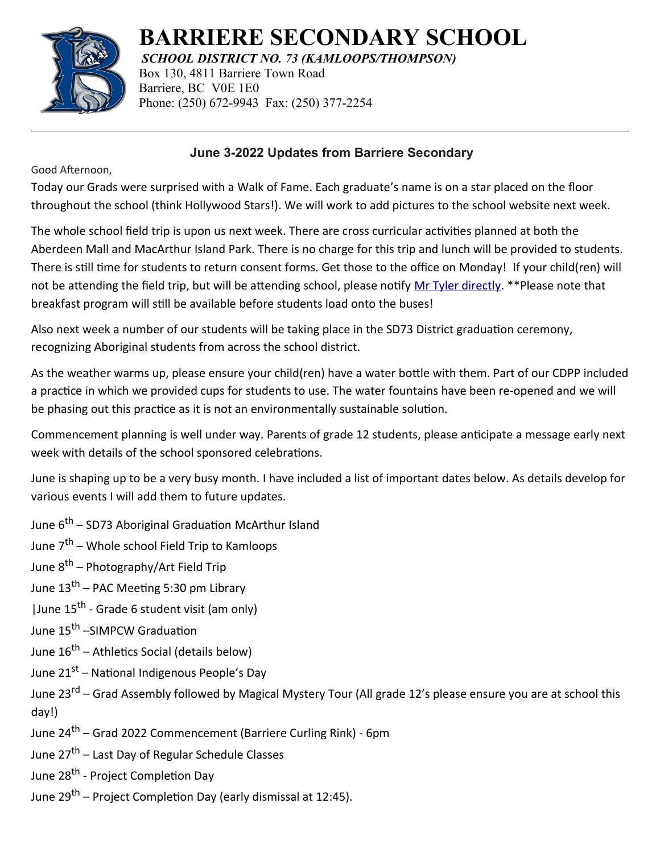

**BARRIERE SECONDARY SCHOOL**

*SCHOOL DISTRICT NO. 73 (KAMLOOPS/THOMPSON)*

Box 130, 4811 Barriere Town Road Barriere, BC V0E 1E0 Phone: (250) 672-9943 Fax: (250) 377-2254

## **June 3-2022 Updates from Barriere Secondary**

Good Afternoon,

Today our Grads were surprised with a Walk of Fame. Each graduate's name is on a star placed on the floor throughout the school (think Hollywood Stars!). We will work to add pictures to the school website next week.

The whole school field trip is upon us next week. There are cross curricular activities planned at both the Aberdeen Mall and MacArthur Island Park. There is no charge for this trip and lunch will be provided to students. There is still time for students to return consent forms. Get those to the office on Monday! If your child(ren) will not be attending the field trip, but will be attending school, please notify [Mr Tyler directly](mailto:jtyler@sd73.bc.ca). \*\*Please note that breakfast program will still be available before students load onto the buses!

Also next week a number of our students will be taking place in the SD73 District graduation ceremony, recognizing Aboriginal students from across the school district.

As the weather warms up, please ensure your child(ren) have a water bottle with them. Part of our CDPP included a practice in which we provided cups for students to use. The water fountains have been re-opened and we will be phasing out this practice as it is not an environmentally sustainable solution.

Commencement planning is well under way. Parents of grade 12 students, please anticipate a message early next week with details of the school sponsored celebrations.

June is shaping up to be a very busy month. I have included a list of important dates below. As details develop for various events I will add them to future updates.

June 6<sup>th</sup> – SD73 Aboriginal Graduation McArthur Island

June 7<sup>th</sup> – Whole school Field Trip to Kamloops

June 8<sup>th</sup> – Photography/Art Field Trip

June  $13^{th}$  – PAC Meeting 5:30 pm Library

| June 15<sup>th</sup> - Grade 6 student visit (am only)

June 15<sup>th</sup> –SIMPCW Graduation

June  $16^{th}$  – Athletics Social (details below)

June 21<sup>st</sup> – National Indigenous People's Day

June 23<sup>rd</sup> – Grad Assembly followed by Magical Mystery Tour (All grade 12's please ensure you are at school this day!)

June 24<sup>th</sup> – Grad 2022 Commencement (Barriere Curling Rink) - 6pm

June 27<sup>th</sup> – Last Day of Regular Schedule Classes

June 28<sup>th</sup> - Project Completion Day

June 29<sup>th</sup> – Project Completion Day (early dismissal at 12:45).